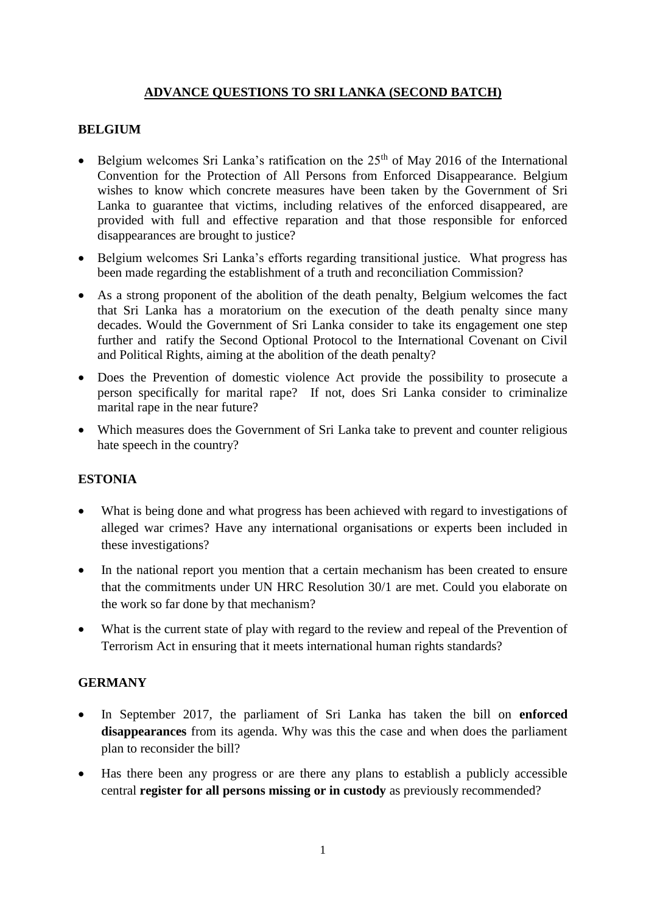## **ADVANCE QUESTIONS TO SRI LANKA (SECOND BATCH)**

### **BELGIUM**

- Belgium welcomes Sri Lanka's ratification on the  $25<sup>th</sup>$  of May 2016 of the International Convention for the Protection of All Persons from Enforced Disappearance. Belgium wishes to know which concrete measures have been taken by the Government of Sri Lanka to guarantee that victims, including relatives of the enforced disappeared, are provided with full and effective reparation and that those responsible for enforced disappearances are brought to justice?
- Belgium welcomes Sri Lanka's efforts regarding transitional justice. What progress has been made regarding the establishment of a truth and reconciliation Commission?
- As a strong proponent of the abolition of the death penalty, Belgium welcomes the fact that Sri Lanka has a moratorium on the execution of the death penalty since many decades. Would the Government of Sri Lanka consider to take its engagement one step further and ratify the Second Optional Protocol to the International Covenant on Civil and Political Rights, aiming at the abolition of the death penalty?
- Does the Prevention of domestic violence Act provide the possibility to prosecute a person specifically for marital rape? If not, does Sri Lanka consider to criminalize marital rape in the near future?
- Which measures does the Government of Sri Lanka take to prevent and counter religious hate speech in the country?

## **ESTONIA**

- What is being done and what progress has been achieved with regard to investigations of alleged war crimes? Have any international organisations or experts been included in these investigations?
- In the national report you mention that a certain mechanism has been created to ensure that the commitments under UN HRC Resolution 30/1 are met. Could you elaborate on the work so far done by that mechanism?
- What is the current state of play with regard to the review and repeal of the Prevention of Terrorism Act in ensuring that it meets international human rights standards?

#### **GERMANY**

- In September 2017, the parliament of Sri Lanka has taken the bill on **enforced**  disappearances from its agenda. Why was this the case and when does the parliament plan to reconsider the bill?
- Has there been any progress or are there any plans to establish a publicly accessible central **register for all persons missing or in custody** as previously recommended?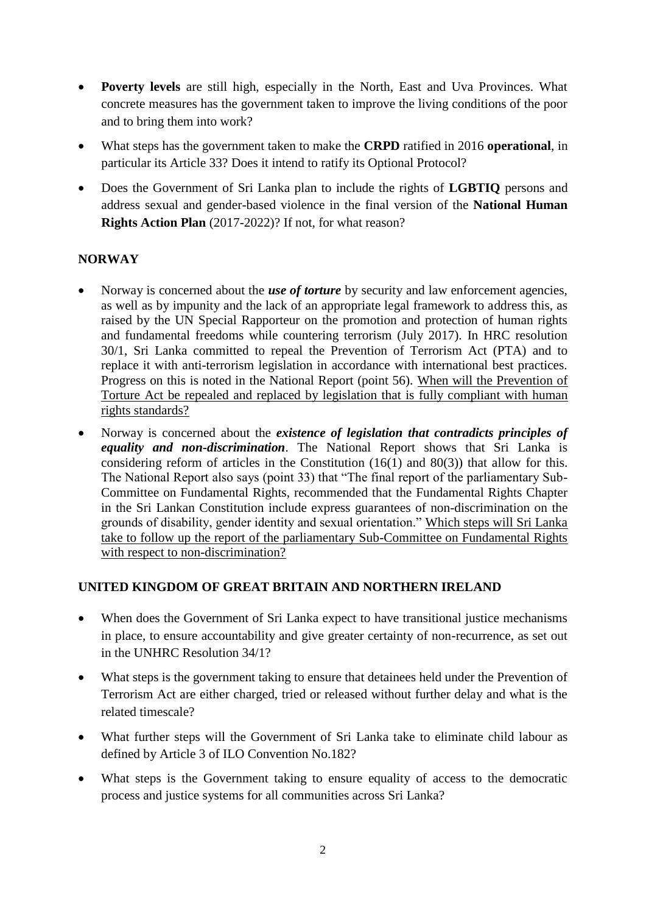- **Poverty levels** are still high, especially in the North, East and Uva Provinces. What concrete measures has the government taken to improve the living conditions of the poor and to bring them into work?
- What steps has the government taken to make the **CRPD** ratified in 2016 **operational**, in particular its Article 33? Does it intend to ratify its Optional Protocol?
- Does the Government of Sri Lanka plan to include the rights of **LGBTIQ** persons and address sexual and gender-based violence in the final version of the **National Human Rights Action Plan** (2017-2022)? If not, for what reason?

# **NORWAY**

- Norway is concerned about the *use of torture* by security and law enforcement agencies, as well as by impunity and the lack of an appropriate legal framework to address this, as raised by the UN Special Rapporteur on the promotion and protection of human rights and fundamental freedoms while countering terrorism (July 2017). In HRC resolution 30/1, Sri Lanka committed to repeal the Prevention of Terrorism Act (PTA) and to replace it with anti-terrorism legislation in accordance with international best practices. Progress on this is noted in the National Report (point 56). When will the Prevention of Torture Act be repealed and replaced by legislation that is fully compliant with human rights standards?
- Norway is concerned about the *existence of legislation that contradicts principles of equality and non-discrimination*. The National Report shows that Sri Lanka is considering reform of articles in the Constitution  $(16(1)$  and  $80(3)$ ) that allow for this. The National Report also says (point 33) that "The final report of the parliamentary Sub-Committee on Fundamental Rights, recommended that the Fundamental Rights Chapter in the Sri Lankan Constitution include express guarantees of non-discrimination on the grounds of disability, gender identity and sexual orientation." Which steps will Sri Lanka take to follow up the report of the parliamentary Sub-Committee on Fundamental Rights with respect to non-discrimination?

## **UNITED KINGDOM OF GREAT BRITAIN AND NORTHERN IRELAND**

- When does the Government of Sri Lanka expect to have transitional justice mechanisms in place, to ensure accountability and give greater certainty of non-recurrence, as set out in the UNHRC Resolution 34/1?
- What steps is the government taking to ensure that detainees held under the Prevention of Terrorism Act are either charged, tried or released without further delay and what is the related timescale?
- What further steps will the Government of Sri Lanka take to eliminate child labour as defined by Article 3 of ILO Convention No.182?
- What steps is the Government taking to ensure equality of access to the democratic process and justice systems for all communities across Sri Lanka?